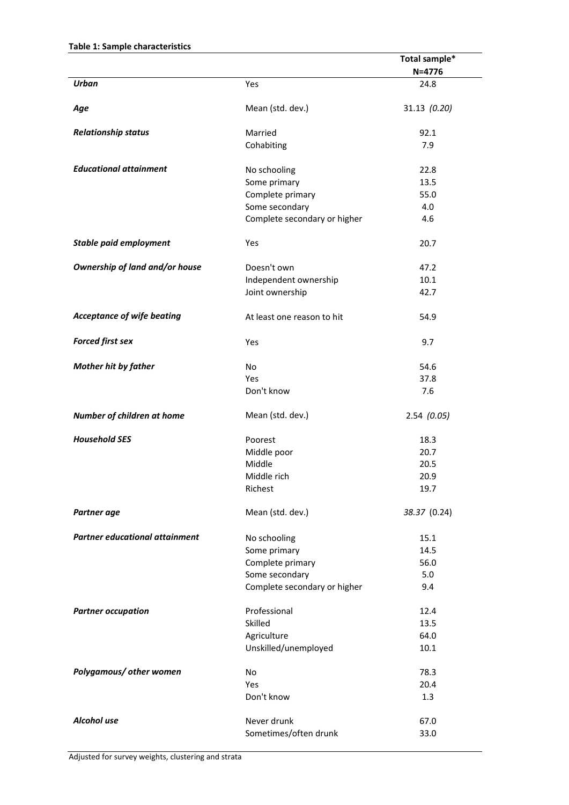|                                       |                              | Total sample* |  |  |  |
|---------------------------------------|------------------------------|---------------|--|--|--|
|                                       |                              | $N = 4776$    |  |  |  |
| <b>Urban</b>                          | Yes                          | 24.8          |  |  |  |
| Age                                   | Mean (std. dev.)             | 31.13 (0.20)  |  |  |  |
| <b>Relationship status</b>            | Married                      | 92.1          |  |  |  |
|                                       | Cohabiting                   | 7.9           |  |  |  |
| <b>Educational attainment</b>         | No schooling                 | 22.8          |  |  |  |
|                                       | Some primary                 | 13.5          |  |  |  |
|                                       | Complete primary             | 55.0          |  |  |  |
|                                       | Some secondary               | 4.0           |  |  |  |
|                                       | Complete secondary or higher | 4.6           |  |  |  |
| <b>Stable paid employment</b>         | Yes                          | 20.7          |  |  |  |
| Ownership of land and/or house        | Doesn't own                  | 47.2          |  |  |  |
|                                       | Independent ownership        | 10.1          |  |  |  |
|                                       | Joint ownership              | 42.7          |  |  |  |
| <b>Acceptance of wife beating</b>     | At least one reason to hit   | 54.9          |  |  |  |
| <b>Forced first sex</b>               | Yes                          | 9.7           |  |  |  |
| <b>Mother hit by father</b>           | No                           | 54.6          |  |  |  |
|                                       | Yes                          | 37.8          |  |  |  |
|                                       | Don't know                   | 7.6           |  |  |  |
| Number of children at home            | Mean (std. dev.)             | 2.54(0.05)    |  |  |  |
| <b>Household SES</b>                  | Poorest                      | 18.3          |  |  |  |
|                                       | Middle poor                  | 20.7          |  |  |  |
|                                       | Middle                       | 20.5          |  |  |  |
|                                       | Middle rich                  | 20.9          |  |  |  |
|                                       | Richest                      | 19.7          |  |  |  |
| Partner age                           | Mean (std. dev.)             | 38.37 (0.24)  |  |  |  |
| <b>Partner educational attainment</b> | No schooling                 | 15.1          |  |  |  |
|                                       | Some primary                 | 14.5          |  |  |  |
|                                       | Complete primary             | 56.0          |  |  |  |
|                                       | Some secondary               | 5.0           |  |  |  |
|                                       | Complete secondary or higher | 9.4           |  |  |  |
| <b>Partner occupation</b>             | Professional                 | 12.4          |  |  |  |
|                                       | Skilled                      | 13.5          |  |  |  |
|                                       | Agriculture                  | 64.0          |  |  |  |
|                                       | Unskilled/unemployed         | 10.1          |  |  |  |
| Polygamous/ other women               | No                           | 78.3          |  |  |  |
|                                       | Yes                          | 20.4          |  |  |  |
|                                       | Don't know                   | 1.3           |  |  |  |
| Alcohol use                           | Never drunk                  | 67.0          |  |  |  |
|                                       | Sometimes/often drunk        | 33.0          |  |  |  |
|                                       |                              |               |  |  |  |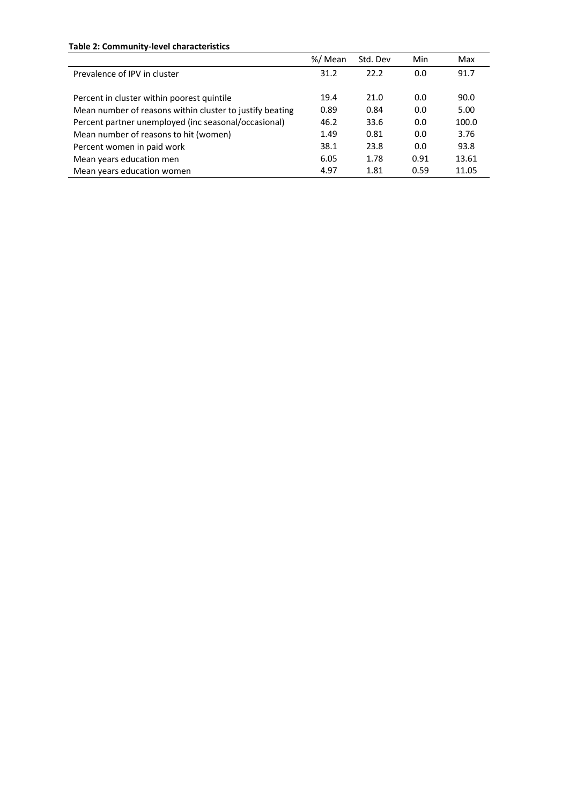## **Table 2: Community-level characteristics**

|                                                          | %/ Mean | Std. Dev | Min  | Max   |
|----------------------------------------------------------|---------|----------|------|-------|
| Prevalence of IPV in cluster                             | 31.2    | 22.2     | 0.0  | 91.7  |
|                                                          |         |          |      |       |
| Percent in cluster within poorest quintile               | 19.4    | 21.0     | 0.0  | 90.0  |
| Mean number of reasons within cluster to justify beating | 0.89    | 0.84     | 0.0  | 5.00  |
| Percent partner unemployed (inc seasonal/occasional)     | 46.2    | 33.6     | 0.0  | 100.0 |
| Mean number of reasons to hit (women)                    | 1.49    | 0.81     | 0.0  | 3.76  |
| Percent women in paid work                               | 38.1    | 23.8     | 0.0  | 93.8  |
| Mean years education men                                 | 6.05    | 1.78     | 0.91 | 13.61 |
| Mean years education women                               | 4.97    | 1.81     | 0.59 | 11.05 |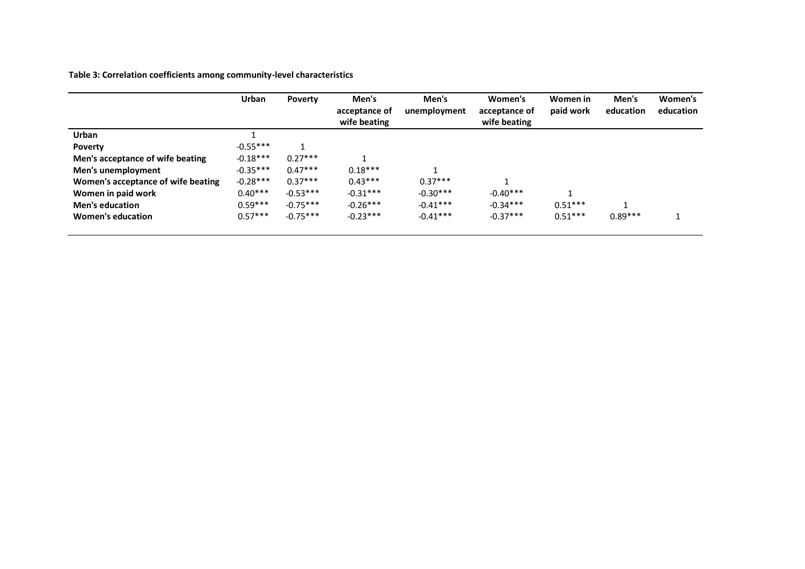**Table 3: Correlation coefficients among community-level characteristics**

|                                    | Urban      | <b>Poverty</b> | Men's<br>acceptance of<br>wife beating | Men's<br>unemployment | Women's<br>acceptance of<br>wife beating | Women in<br>paid work | Men's<br>education | Women's<br>education |
|------------------------------------|------------|----------------|----------------------------------------|-----------------------|------------------------------------------|-----------------------|--------------------|----------------------|
| <b>Urban</b>                       |            |                |                                        |                       |                                          |                       |                    |                      |
| Poverty                            | $-0.55***$ | 1              |                                        |                       |                                          |                       |                    |                      |
| Men's acceptance of wife beating   | $-0.18***$ | $0.27***$      |                                        |                       |                                          |                       |                    |                      |
| Men's unemployment                 | $-0.35***$ | $0.47***$      | $0.18***$                              |                       |                                          |                       |                    |                      |
| Women's acceptance of wife beating | $-0.28***$ | $0.37***$      | $0.43***$                              | $0.37***$             |                                          |                       |                    |                      |
| Women in paid work                 | $0.40***$  | $-0.53***$     | $-0.31***$                             | $-0.30***$            | $-0.40***$                               |                       |                    |                      |
| <b>Men's education</b>             | $0.59***$  | $-0.75***$     | $-0.26***$                             | $-0.41***$            | $-0.34***$                               | $0.51***$             |                    |                      |
| Women's education                  | $0.57***$  | $-0.75***$     | $-0.23***$                             | $-0.41***$            | $-0.37***$                               | $0.51***$             | $0.89***$          |                      |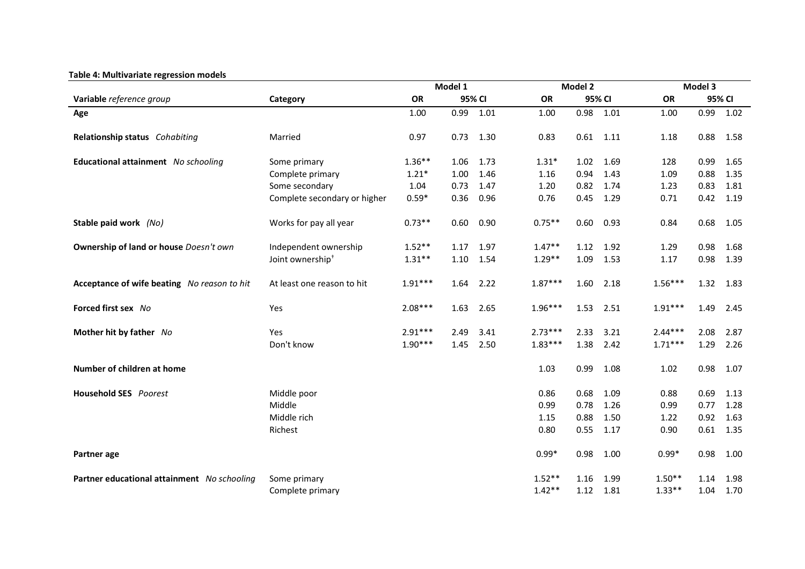## **Table 4: Multivariate regression models**

|                                             |                              | Model 1   |        |      |           | Model 2 |      |           | Model 3     |      |  |  |
|---------------------------------------------|------------------------------|-----------|--------|------|-----------|---------|------|-----------|-------------|------|--|--|
| Variable reference group                    | Category                     | <b>OR</b> | 95% CI |      | <b>OR</b> | 95% CI  |      | <b>OR</b> | 95% CI      |      |  |  |
| Age                                         |                              | 1.00      | 0.99   | 1.01 | 1.00      | 0.98    | 1.01 | 1.00      | 0.99        | 1.02 |  |  |
| Relationship status Cohabiting              | Married                      | 0.97      | 0.73   | 1.30 | 0.83      | 0.61    | 1.11 | 1.18      | $0.88$ 1.58 |      |  |  |
| Educational attainment No schooling         | Some primary                 | $1.36**$  | 1.06   | 1.73 | $1.31*$   | 1.02    | 1.69 | 128       | 0.99        | 1.65 |  |  |
|                                             | Complete primary             | $1.21*$   | 1.00   | 1.46 | 1.16      | 0.94    | 1.43 | 1.09      | 0.88        | 1.35 |  |  |
|                                             | Some secondary               | 1.04      | 0.73   | 1.47 | 1.20      | 0.82    | 1.74 | 1.23      | 0.83        | 1.81 |  |  |
|                                             | Complete secondary or higher | $0.59*$   | 0.36   | 0.96 | 0.76      | 0.45    | 1.29 | 0.71      | 0.42        | 1.19 |  |  |
| Stable paid work (No)                       | Works for pay all year       | $0.73**$  | 0.60   | 0.90 | $0.75***$ | 0.60    | 0.93 | 0.84      | 0.68        | 1.05 |  |  |
| Ownership of land or house Doesn't own      | Independent ownership        | $1.52**$  | 1.17   | 1.97 | $1.47**$  | 1.12    | 1.92 | 1.29      | 0.98        | 1.68 |  |  |
|                                             | Joint ownership <sup>+</sup> | $1.31**$  | 1.10   | 1.54 | $1.29**$  | 1.09    | 1.53 | 1.17      | 0.98        | 1.39 |  |  |
| Acceptance of wife beating No reason to hit | At least one reason to hit   | $1.91***$ | 1.64   | 2.22 | $1.87***$ | 1.60    | 2.18 | $1.56***$ | 1.32        | 1.83 |  |  |
| Forced first sex No                         | Yes                          | $2.08***$ | 1.63   | 2.65 | 1.96***   | 1.53    | 2.51 | $1.91***$ | 1.49        | 2.45 |  |  |
| Mother hit by father No                     | Yes                          | $2.91***$ | 2.49   | 3.41 | $2.73***$ | 2.33    | 3.21 | $2.44***$ | 2.08        | 2.87 |  |  |
|                                             | Don't know                   | $1.90***$ | 1.45   | 2.50 | $1.83***$ | 1.38    | 2.42 | $1.71***$ | 1.29        | 2.26 |  |  |
| Number of children at home                  |                              |           |        |      | 1.03      | 0.99    | 1.08 | 1.02      | 0.98        | 1.07 |  |  |
| <b>Household SES</b> Poorest                | Middle poor                  |           |        |      | 0.86      | 0.68    | 1.09 | 0.88      | 0.69        | 1.13 |  |  |
|                                             | Middle                       |           |        |      | 0.99      | 0.78    | 1.26 | 0.99      | 0.77        | 1.28 |  |  |
|                                             | Middle rich                  |           |        |      | 1.15      | 0.88    | 1.50 | 1.22      | 0.92        | 1.63 |  |  |
|                                             | Richest                      |           |        |      | 0.80      | 0.55    | 1.17 | 0.90      | 0.61        | 1.35 |  |  |
| Partner age                                 |                              |           |        |      | $0.99*$   | 0.98    | 1.00 | $0.99*$   | 0.98        | 1.00 |  |  |
| Partner educational attainment No schooling | Some primary                 |           |        |      | $1.52**$  | 1.16    | 1.99 | $1.50**$  | 1.14        | 1.98 |  |  |
|                                             | Complete primary             |           |        |      | $1.42**$  | 1.12    | 1.81 | $1.33**$  | 1.04        | 1.70 |  |  |